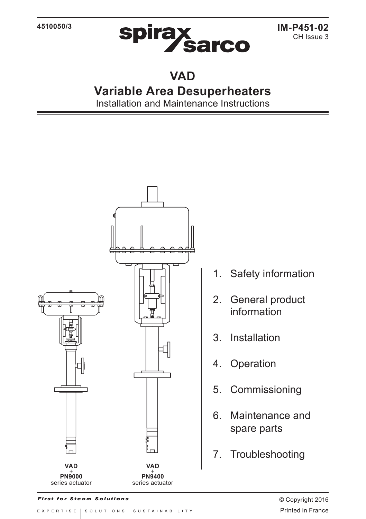

# **VAD**

# **Variable Area Desuperheaters**

Installation and Maintenance Instructions



1. Safety information

- 2. General product information
- 3. Installation
- 4. Operation
- 5. Commissioning
- 6. Maintenance and spare parts
- 7. Troubleshooting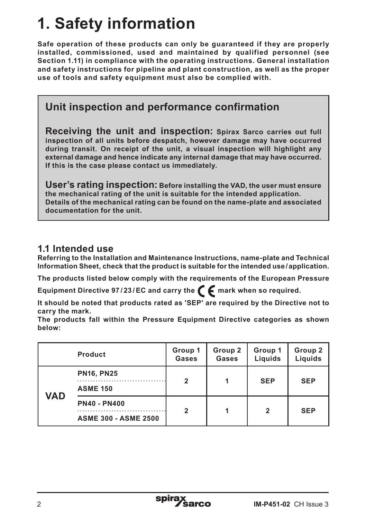# **1. Safety information**

**Safe operation of these products can only be guaranteed if they are properly installed, commissioned, used and maintained by qualified personnel (see Section 1.11) in compliance with the operating instructions. General installation and safety instructions for pipeline and plant construction, as well as the proper use of tools and safety equipment must also be complied with.**

# **Unit inspection and performance confirmation**

**Receiving the unit and inspection: Spirax Sarco carries out full inspection of all units before despatch, however damage may have occurred during transit. On receipt of the unit, a visual inspection will highlight any external damage and hence indicate any internal damage that may have occurred. If this is the case please contact us immediately.**

**User's rating inspection: Before installing the VAD, the user must ensure the mechanical rating of the unit is suitable for the intended application. Details of the mechanical rating can be found on the name-plate and associated documentation for the unit.**

## **1.1 Intended use**

**Referring to the Installation and Maintenance Instructions, name-plate and Technical Information Sheet, check that the product is suitable for the intended use/application.** 

**The products listed below comply with the requirements of the European Pressure** 

Equipment Directive 97/23/EC and carry the  $\epsilon$  mark when so required.

**It should be noted that products rated as 'SEP' are required by the Directive not to carry the mark.**

**The products fall within the Pressure Equipment Directive categories as shown below:**

|     | <b>Product</b>                                     | Group 1<br>Gases | Group 2<br>Gases | Group 1<br>Liquids | Group 2<br>Liquids |
|-----|----------------------------------------------------|------------------|------------------|--------------------|--------------------|
| VAD | <b>PN16, PN25</b><br><b>ASME 150</b>               | 2                |                  | <b>SEP</b>         | <b>SEP</b>         |
|     | <b>PN40 - PN400</b><br><b>ASME 300 - ASME 2500</b> | 2                |                  | 2                  | <b>SEP</b>         |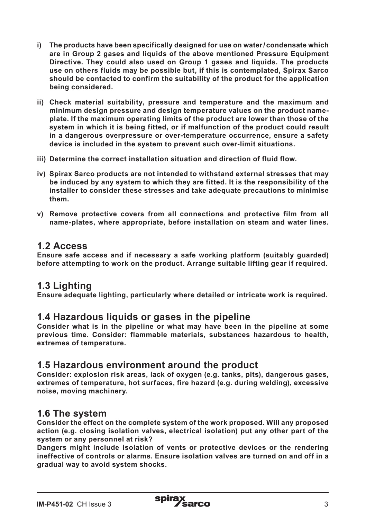- **i) The products have been specifically designed for use on water/ condensate which are in Group 2 gases and liquids of the above mentioned Pressure Equipment Directive. They could also used on Group 1 gases and liquids. The products use on others fluids may be possible but, if this is contemplated, Spirax Sarco should be contacted to confirm the suitability of the product for the application being considered.**
- **ii) Check material suitability, pressure and temperature and the maximum and minimum design pressure and design temperature values on the product nameplate. If the maximum operating limits of the product are lower than those of the system in which it is being fitted, or if malfunction of the product could result in a dangerous overpressure or over-temperature occurrence, ensure a safety device is included in the system to prevent such over-limit situations.**
- **iii) Determine the correct installation situation and direction of fluid flow.**
- **iv) Spirax Sarco products are not intended to withstand external stresses that may be induced by any system to which they are fitted. It is the responsibility of the installer to consider these stresses and take adequate precautions to minimise them.**
- **v) Remove protective covers from all connections and protective film from all name-plates, where appropriate, before installation on steam and water lines.**

## **1.2 Access**

**Ensure safe access and if necessary a safe working platform (suitably guarded) before attempting to work on the product. Arrange suitable lifting gear if required.**

## **1.3 Lighting**

**Ensure adequate lighting, particularly where detailed or intricate work is required.**

### **1.4 Hazardous liquids or gases in the pipeline**

**Consider what is in the pipeline or what may have been in the pipeline at some previous time. Consider: flammable materials, substances hazardous to health, extremes of temperature.**

### **1.5 Hazardous environment around the product**

**Consider: explosion risk areas, lack of oxygen (e.g. tanks, pits), dangerous gases, extremes of temperature, hot surfaces, fire hazard (e.g. during welding), excessive noise, moving machinery.**

### **1.6 The system**

**Consider the effect on the complete system of the work proposed. Will any proposed action (e.g. closing isolation valves, electrical isolation) put any other part of the system or any personnel at risk?**

**Dangers might include isolation of vents or protective devices or the rendering ineffective of controls or alarms. Ensure isolation valves are turned on and off in a gradual way to avoid system shocks.**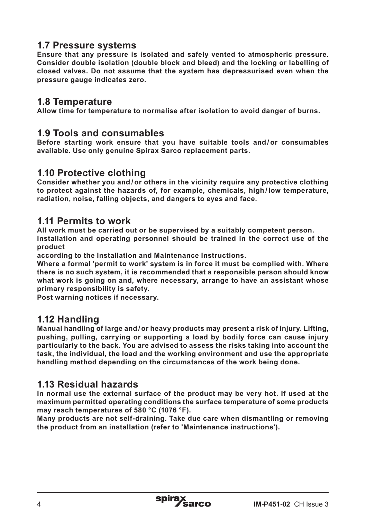## **1.7 Pressure systems**

**Ensure that any pressure is isolated and safely vented to atmospheric pressure. Consider double isolation (double block and bleed) and the locking or labelling of closed valves. Do not assume that the system has depressurised even when the pressure gauge indicates zero.**

## **1.8 Temperature**

**Allow time for temperature to normalise after isolation to avoid danger of burns.**

### **1.9 Tools and consumables**

**Before starting work ensure that you have suitable tools and / or consumables available. Use only genuine Spirax Sarco replacement parts.**

#### **1.10 Protective clothing**

**Consider whether you and / or others in the vicinity require any protective clothing to protect against the hazards of, for example, chemicals, high / low temperature, radiation, noise, falling objects, and dangers to eyes and face.**

## **1.11 Permits to work**

**All work must be carried out or be supervised by a suitably competent person. Installation and operating personnel should be trained in the correct use of the product**

**according to the Installation and Maintenance Instructions.**

**Where a formal 'permit to work' system is in force it must be complied with. Where there is no such system, it is recommended that a responsible person should know what work is going on and, where necessary, arrange to have an assistant whose primary responsibility is safety.**

**Post warning notices if necessary.**

### **1.12 Handling**

**Manual handling of large and / or heavy products may present a risk of injury. Lifting, pushing, pulling, carrying or supporting a load by bodily force can cause injury particularly to the back. You are advised to assess the risks taking into account the task, the individual, the load and the working environment and use the appropriate handling method depending on the circumstances of the work being done.**

## **1.13 Residual hazards**

**In normal use the external surface of the product may be very hot. If used at the maximum permitted operating conditions the surface temperature of some products may reach temperatures of 580 °C (1076 °F).**

**Many products are not self-draining. Take due care when dismantling or removing the product from an installation (refer to 'Maintenance instructions').**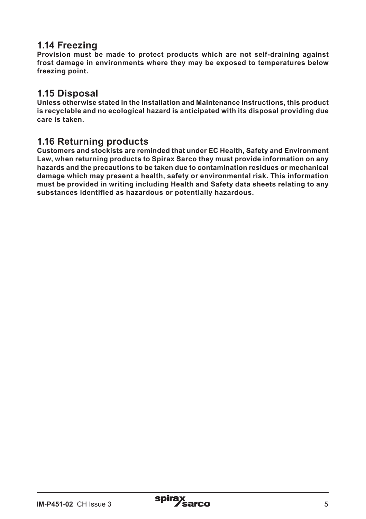## **1.14 Freezing**

**Provision must be made to protect products which are not self-draining against frost damage in environments where they may be exposed to temperatures below freezing point.**

## **1.15 Disposal**

**Unless otherwise stated in the Installation and Maintenance Instructions, this product is recyclable and no ecological hazard is anticipated with its disposal providing due care is taken.**

## **1.16 Returning products**

**Customers and stockists are reminded that under EC Health, Safety and Environment Law, when returning products to Spirax Sarco they must provide information on any hazards and the precautions to be taken due to contamination residues or mechanical damage which may present a health, safety or environmental risk. This information must be provided in writing including Health and Safety data sheets relating to any substances identified as hazardous or potentially hazardous.**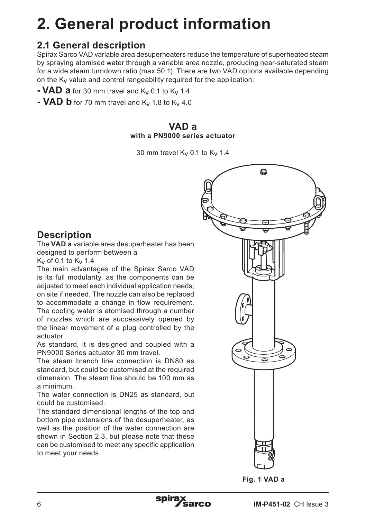# **2. General product information**

## **2.1 General description**

Spirax Sarco VAD variable area desuperheaters reduce the temperature of superheated steam by spraying atomised water through a variable area nozzle, producing near-saturated steam for a wide steam turndown ratio (max 50:1). There are two VAD options available depending on the Kv value and control rangeability required for the application:

- **- VAD** a for 30 mm travel and  $K_v$  0.1 to  $K_v$  1.4
- **VAD b** for 70 mm travel and  $K_V$  1.8 to  $K_V$  4.0

#### **VAD a with a PN9000 series actuator**

30 mm travel  $K_v$  0.1 to  $K_v$  1.4

## **Description**

The **VAD a** variable area desuperheater has been designed to perform between a

 $K_v$  of 0.1 to  $K_v$  1.4

The main advantages of the Spirax Sarco VAD is its full modularity, as the components can be adjusted to meet each individual application needs: on site if needed. The nozzle can also be replaced to accommodate a change in flow requirement. The cooling water is atomised through a number of nozzles which are successively opened by the linear movement of a plug controlled by the actuator.

As standard, it is designed and coupled with a PN9000 Series actuator 30 mm travel.

The steam branch line connection is DN80 as standard, but could be customised at the required dimension. The steam line should be 100 mm as a minimum.

The water connection is DN25 as standard, but could be customised.

The standard dimensional lengths of the top and bottom pipe extensions of the desuperheater, as well as the position of the water connection are shown in Section 2.3, but please note that these can be customised to meet any specific application to meet your needs.

画

**Fig. 1 VAD a**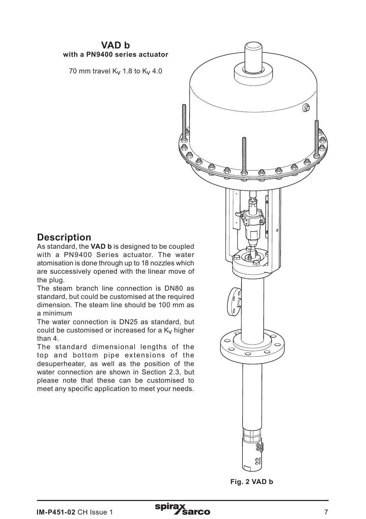#### **VAD b with a PN9400 series actuator**

70 mm travel  $K_V$  1.8 to  $K_V$  4.0

## **Description**

As standard, the **VAD b** is designed to be coupled with a PN9400 Series actuator. The water atomisation is done through up to 18 nozzles which are successively opened with the linear move of the plug.

The steam branch line connection is DN80 as standard, but could be customised at the required dimension. The steam line should be 100 mm as a minimum

The water connection is DN25 as standard, but could be customised or increased for a  $K_V$  higher than 4.

The standard dimensional lengths of the top and bottom pipe extensions of the desuperheater, as well as the position of the water connection are shown in Section 2.3, but please note that these can be customised to meet any specific application to meet your needs.



**Fig. 2 VAD b**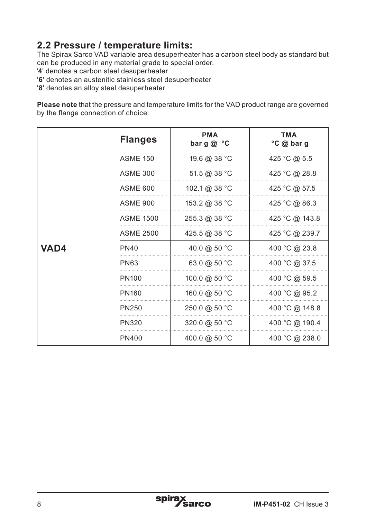# **2.2 Pressure / temperature limits:**

The Spirax Sarco VAD variable area desuperheater has a carbon steel body as standard but can be produced in any material grade to special order.

- '**4**' denotes a carbon steel desuperheater
- '**6**' denotes an austenitic stainless steel desuperheater
- '**8**' denotes an alloy steel desuperheater

**Please note** that the pressure and temperature limits for the VAD product range are governed by the flange connection of choice:

|      | <b>Flanges</b>    | <b>PMA</b><br>barg@ $°C$         | <b>TMA</b><br>°C @ bar g |
|------|-------------------|----------------------------------|--------------------------|
|      | <b>ASME 150</b>   | 19.6 @ 38 °C                     | 425 °C @ 5.5             |
|      | <b>ASME 300</b>   | 51.5 @ 38 °C                     | 425 °C @ 28.8            |
|      | <b>ASME 600</b>   | 102.1 @ 38 °C                    | 425 °C @ 57.5            |
|      | <b>ASME 900</b>   | 153.2 @ 38 °C                    | 425 °C @ 86.3            |
|      | <b>ASME 1500</b>  | 255.3 @ 38 °C                    | 425 °C @ 143.8           |
|      | <b>ASME 2500</b>  | 425.5 @ 38 °C                    | 425 °C @ 239.7           |
| VAD4 | <b>PN40</b>       | 40.0 @ 50 °C                     | 400 °C @ 23.8            |
|      | <b>PN63</b>       | 63.0 @ 50 °C                     | 400 °C @ 37.5            |
|      | PN <sub>100</sub> | 100.0 @ 50 °C                    | 400 °C @ 59.5            |
|      | <b>PN160</b>      | 160.0 @ 50 °C                    | 400 °C @ 95.2            |
|      | PN250             | $250.0 \text{ @ } 50 \text{ °C}$ | 400 °C @ 148.8           |
|      | PN320             | 320.0 @ 50 °C                    | 400 °C @ 190.4           |
|      | PN400             | 400.0 @ 50 °C                    | 400 °C @ 238.0           |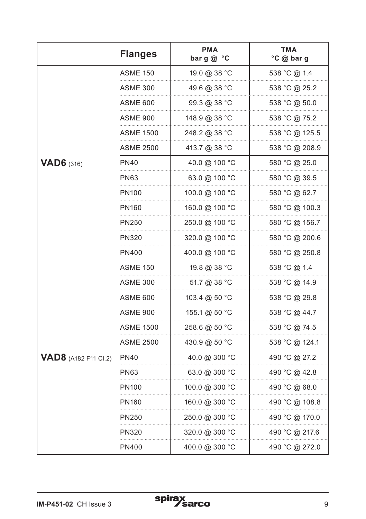|                             | <b>Flanges</b>    | <b>PMA</b><br>bar $g \circ c$ | <b>TMA</b><br>°C @ bar g |
|-----------------------------|-------------------|-------------------------------|--------------------------|
|                             | <b>ASME 150</b>   | 19.0 @ 38 °C                  | 538 °C @ 1.4             |
|                             | ASME 300          | 49.6 @ 38 °C                  | 538 °C @ 25.2            |
|                             | ASME 600          | 99.3 @ 38 °C                  | 538 °C @ 50.0            |
|                             | ASME 900          | 148.9 @ 38 °C                 | 538 °C @ 75.2            |
|                             | ASME 1500         | 248.2 @ 38 °C                 | 538 °C @ 125.5           |
|                             | ASME 2500         | 413.7 @ 38 °C                 | 538 °C @ 208.9           |
| <b>VAD6</b> $(316)$         | PN40              | 40.0 @ 100 °C                 | 580 °C @ 25.0            |
|                             | <b>PN63</b>       | 63.0 @ 100 °C                 | 580 °C @ 39.5            |
|                             | PN <sub>100</sub> | 100.0 @ 100 °C                | 580 °C @ 62.7            |
|                             | PN160             | 160.0 @ 100 °C                | 580 °C @ 100.3           |
|                             | PN250             | 250.0 @ 100 °C                | 580 °C @ 156.7           |
|                             | PN320             | 320.0 @ 100 °C                | 580 °C @ 200.6           |
|                             | PN400             | 400.0 @ 100 °C                | 580 °C @ 250.8           |
|                             | <b>ASME 150</b>   | 19.8 @ 38 °C                  | 538 °C @ 1.4             |
|                             | ASME 300          | 51.7 @ 38 °C                  | 538 °C @ 14.9            |
|                             | ASME 600          | 103.4 @ 50 °C                 | 538 °C @ 29.8            |
|                             | ASME 900          | 155.1 @ 50 °C                 | 538 °C @ 44.7            |
|                             | ASME 1500         | 258.6 @ 50 °C                 | 538 °C @ 74.5            |
|                             | <b>ASME 2500</b>  | 430.9 @ 50 °C                 | 538 °C @ 124.1           |
| <b>VAD8</b> (A182 F11 Cl.2) | PN40              | 40.0 @ 300 °C                 | 490 °C @ 27.2            |
|                             | <b>PN63</b>       | 63.0 @ 300 °C                 | 490 °C @ 42.8            |
|                             | PN100             | 100.0 @ 300 °C                | 490 °C @ 68.0            |
|                             | PN160             | 160.0 @ 300 °C                | 490 °C @ 108.8           |
|                             | PN250             | 250.0 @ 300 °C                | 490 °C @ 170.0           |
|                             | PN320             | 320.0 @ 300 °C                | 490 °C @ 217.6           |
|                             | PN400             | 400.0 @ 300 °C                | 490 °C @ 272.0           |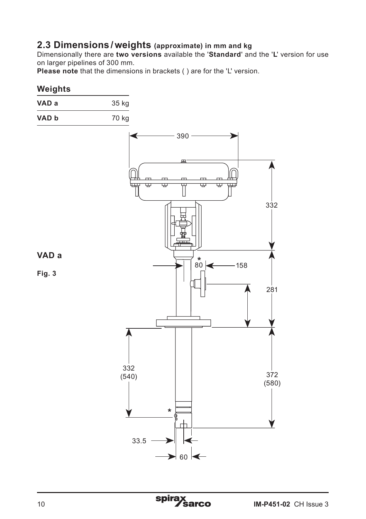### **2.3 Dimensions /weights (approximate) in mm and kg**

Dimensionally there are **two versions** available the '**Standard**' and the '**L**' version for use on larger pipelines of 300 mm.

**Please note** that the dimensions in brackets ( ) are for the 'L' version.

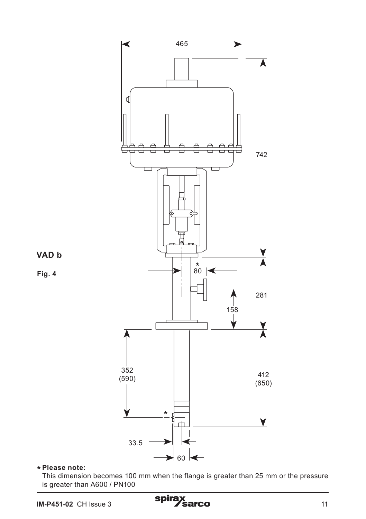

## **Please note: \***

This dimension becomes 100 mm when the flange is greater than 25 mm or the pressure is greater than A600 / PN100

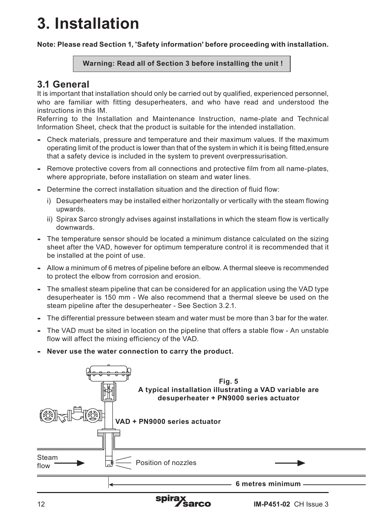# **3. Installation**

**Note: Please read Section 1, 'Safety information' before proceeding with installation.**

#### **Warning: Read all of Section 3 before installing the unit !**

## **3.1 General**

It is important that installation should only be carried out by qualified, experienced personnel, who are familiar with fitting desuperheaters, and who have read and understood the instructions in this IM.

Referring to the Installation and Maintenance Instruction, name-plate and Technical Information Sheet, check that the product is suitable for the intended installation.

- **-** Check materials, pressure and temperature and their maximum values. If the maximum operating limit of the product is lower than that of the system in which it is being fitted,ensure that a safety device is included in the system to prevent overpressurisation.
- **-** Remove protective covers from all connections and protective film from all name-plates, where appropriate, before installation on steam and water lines.
- **-** Determine the correct installation situation and the direction of fluid flow:
	- i) Desuperheaters may be installed either horizontally or vertically with the steam flowing upwards.
	- ii) Spirax Sarco strongly advises against installations in which the steam flow is vertically downwards.
- **-** The temperature sensor should be located a minimum distance calculated on the sizing sheet after the VAD, however for optimum temperature control it is recommended that it be installed at the point of use.
- **-** Allow a minimum of 6 metres of pipeline before an elbow. A thermal sleeve is recommended to protect the elbow from corrosion and erosion.
- **-** The smallest steam pipeline that can be considered for an application using the VAD type desuperheater is 150 mm - We also recommend that a thermal sleeve be used on the steam pipeline after the desuperheater - See Section 3.2.1.
- **-** The differential pressure between steam and water must be more than 3 bar for the water.
- **-** The VAD must be sited in location on the pipeline that offers a stable flow An unstable flow will affect the mixing efficiency of the VAD.
- **- Never use the water connection to carry the product.**

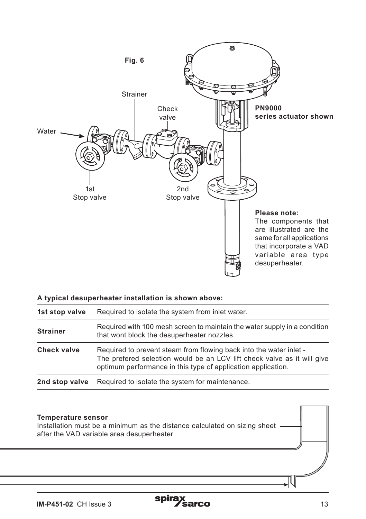

|  | A typical desuperheater installation is shown above: |  |  |
|--|------------------------------------------------------|--|--|
|  |                                                      |  |  |

| 1st stop valve                                                    | Required to isolate the system from inlet water.                                                                                                                                                              |  |  |  |
|-------------------------------------------------------------------|---------------------------------------------------------------------------------------------------------------------------------------------------------------------------------------------------------------|--|--|--|
| <b>Strainer</b>                                                   | Required with 100 mesh screen to maintain the water supply in a condition<br>that wont block the desuperheater nozzles.                                                                                       |  |  |  |
| Check valve                                                       | Required to prevent steam from flowing back into the water inlet -<br>The prefered selection would be an LCV lift check valve as it will give<br>optimum performance in this type of application application. |  |  |  |
| Required to isolate the system for maintenance.<br>2nd stop valve |                                                                                                                                                                                                               |  |  |  |

#### **Temperature sensor**

Installation must be a minimum as the distance calculated on sizing sheet after the VAD variable area desuperheater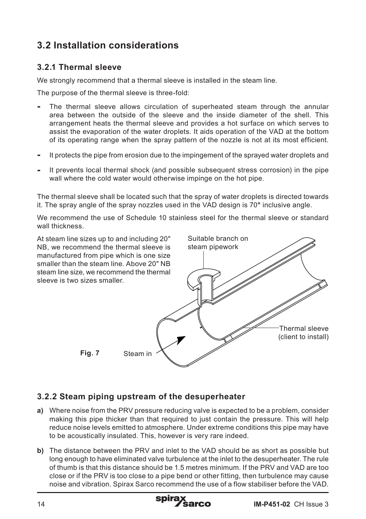# **3.2 Installation considerations**

#### **3.2.1 Thermal sleeve**

We strongly recommend that a thermal sleeve is installed in the steam line.

The purpose of the thermal sleeve is three-fold:

- **-** The thermal sleeve allows circulation of superheated steam through the annular area between the outside of the sleeve and the inside diameter of the shell. This arrangement heats the thermal sleeve and provides a hot surface on which serves to assist the evaporation of the water droplets. It aids operation of the VAD at the bottom of its operating range when the spray pattern of the nozzle is not at its most efficient.
- **-** It protects the pipe from erosion due to the impingement of the sprayed water droplets and
- **-** It prevents local thermal shock (and possible subsequent stress corrosion) in the pipe wall where the cold water would otherwise impinge on the hot pipe.

The thermal sleeve shall be located such that the spray of water droplets is directed towards it. The spray angle of the spray nozzles used in the VAD design is 70**°** inclusive angle.

We recommend the use of Schedule 10 stainless steel for the thermal sleeve or standard wall thickness.



#### **3.2.2 Steam piping upstream of the desuperheater**

- **a)** Where noise from the PRV pressure reducing valve is expected to be a problem, consider making this pipe thicker than that required to just contain the pressure. This will help reduce noise levels emitted to atmosphere. Under extreme conditions this pipe may have to be acoustically insulated. This, however is very rare indeed.
- **b)** The distance between the PRV and inlet to the VAD should be as short as possible but long enough to have eliminated valve turbulence at the inlet to the desuperheater. The rule of thumb is that this distance should be 1.5 metres minimum. If the PRV and VAD are too close or if the PRV is too close to a pipe bend or other fitting, then turbulence may cause noise and vibration. Spirax Sarco recommend the use of a flow stabiliser before the VAD.

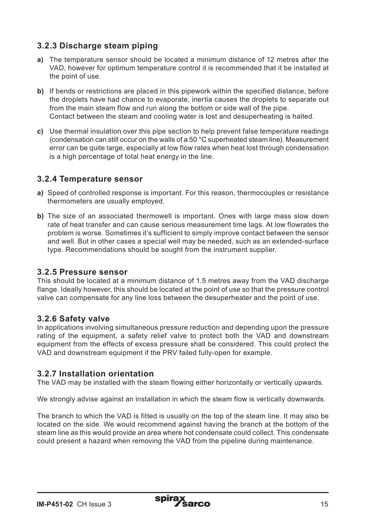### **3.2.3 Discharge steam piping**

- **a)** The temperature sensor should be located a minimum distance of 12 metres after the VAD, however for optimum temperature control it is recommended that it be installed at the point of use.
- **b)** If bends or restrictions are placed in this pipework within the specified distance, before the droplets have had chance to evaporate, inertia causes the droplets to separate out from the main steam flow and run along the bottom or side wall of the pipe. Contact between the steam and cooling water is lost and desuperheating is halted.
- **c)** Use thermal insulation over this pipe section to help prevent false temperature readings (condensation can still occur on the walls of a 50 °C superheated steam line). Measurement error can be quite large, especially at low flow rates when heat lost through condensation is a high percentage of total heat energy in the line.

#### **3.2.4 Temperature sensor**

- **a)** Speed of controlled response is important. For this reason, thermocouples or resistance thermometers are usually employed.
- **b)** The size of an associated thermowell is important. Ones with large mass slow down rate of heat transfer and can cause serious measurement time lags. At low flowrates the problem is worse. Sometimes it's sufficient to simply improve contact between the sensor and well. But in other cases a special well may be needed, such as an extended-surface type. Recommendations should be sought from the instrument supplier.

#### **3.2.5 Pressure sensor**

This should be located at a minimum distance of 1.5 metres away from the VAD discharge flange. Ideally however, this should be located at the point of use so that the pressure control valve can compensate for any line loss between the desuperheater and the point of use.

#### **3.2.6 Safety valve**

In applications involving simultaneous pressure reduction and depending upon the pressure rating of the equipment, a safety relief valve to protect both the VAD and downstream equipment from the effects of excess pressure shall be considered. This could protect the VAD and downstream equipment if the PRV failed fully-open for example.

#### **3.2.7 Installation orientation**

The VAD may be installed with the steam flowing either horizontally or vertically upwards.

We strongly advise against an installation in which the steam flow is vertically downwards.

The branch to which the VAD is fitted is usually on the top of the steam Iine. It may also be located on the side. We would recommend against having the branch at the bottom of the steam line as this would provide an area where hot condensate could collect. This condensate could present a hazard when removing the VAD from the pipeline during maintenance.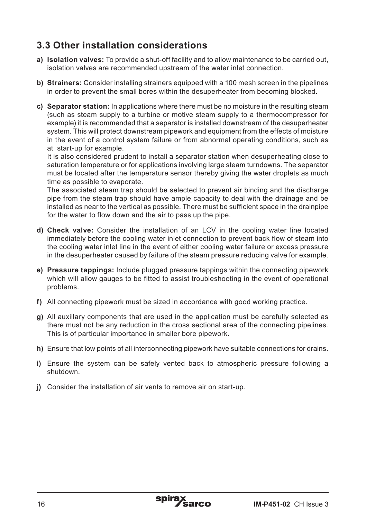## **3.3 Other installation considerations**

- **a) Isolation valves:** To provide a shut-off facility and to allow maintenance to be carried out, isolation valves are recommended upstream of the water inlet connection.
- **b) Strainers:** Consider installing strainers equipped with a 100 mesh screen in the pipelines in order to prevent the small bores within the desuperheater from becoming blocked.
- **c) Separator station:** In applications where there must be no moisture in the resulting steam (such as steam supply to a turbine or motive steam supply to a thermocompressor for example) it is recommended that a separator is installed downstream of the desuperheater system. This will protect downstream pipework and equipment from the effects of moisture in the event of a control system failure or from abnormal operating conditions, such as at start-up for example.

It is also considered prudent to install a separator station when desuperheating close to saturation temperature or for applications involving large steam turndowns. The separator must be located after the temperature sensor thereby giving the water droplets as much time as possible to evaporate.

The associated steam trap should be selected to prevent air binding and the discharge pipe from the steam trap should have ample capacity to deal with the drainage and be installed as near to the vertical as possible. There must be sufficient space in the drainpipe for the water to flow down and the air to pass up the pipe.

- **d) Check valve:** Consider the installation of an LCV in the cooling water line located immediately before the cooling water inlet connection to prevent back flow of steam into the cooling water inlet line in the event of either cooling water failure or excess pressure in the desuperheater caused by failure of the steam pressure reducing valve for example.
- **e) Pressure tappings:** Include plugged pressure tappings within the connecting pipework which will allow gauges to be fitted to assist troubleshooting in the event of operational problems.
- **f)** All connecting pipework must be sized in accordance with good working practice.
- **g)** All auxillary components that are used in the application must be carefully selected as there must not be any reduction in the cross sectional area of the connecting pipelines. This is of particular importance in smaller bore pipework.
- **h)** Ensure that low points of all interconnecting pipework have suitable connections for drains.
- **i)** Ensure the system can be safely vented back to atmospheric pressure following a shutdown.
- **j)** Consider the installation of air vents to remove air on start-up.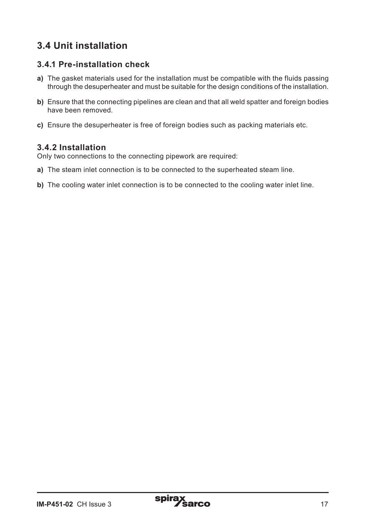# **3.4 Unit installation**

#### **3.4.1 Pre-installation check**

- **a)** The gasket materials used for the installation must be compatible with the fluids passing through the desuperheater and must be suitable for the design conditions of the installation.
- **b)** Ensure that the connecting pipelines are clean and that all weld spatter and foreign bodies have been removed.
- **c)** Ensure the desuperheater is free of foreign bodies such as packing materials etc.

#### **3.4.2 Installation**

Only two connections to the connecting pipework are required:

- **a)** The steam inlet connection is to be connected to the superheated steam line.
- **b)** The cooling water inlet connection is to be connected to the cooling water inlet line.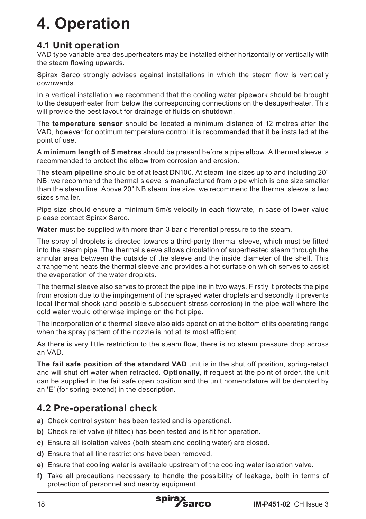# **4. Operation**

## **4.1 Unit operation**

VAD type variable area desuperheaters may be installed either horizontally or vertically with the steam flowing upwards.

Spirax Sarco strongly advises against installations in which the steam flow is vertically downwards.

In a vertical installation we recommend that the cooling water pipework should be brought to the desuperheater from below the corresponding connections on the desuperheater. This will provide the best layout for drainage of fluids on shutdown.

The **temperature sensor** should be located a minimum distance of 12 metres after the VAD, however for optimum temperature control it is recommended that it be installed at the point of use.

A **minimum length of 5 metres** should be present before a pipe elbow. A thermal sleeve is recommended to protect the elbow from corrosion and erosion.

The **steam pipeline** should be of at least DN100. At steam line sizes up to and including 20" NB, we recommend the thermal sleeve is manufactured from pipe which is one size smaller than the steam line. Above 20" NB steam line size, we recommend the thermal sleeve is two sizes smaller.

Pipe size should ensure a minimum 5m/s velocity in each flowrate, in case of lower value please contact Spirax Sarco.

**Water** must be supplied with more than 3 bar differential pressure to the steam.

The spray of droplets is directed towards a third-party thermal sleeve, which must be fitted into the steam pipe. The thermal sleeve allows circulation of superheated steam through the annular area between the outside of the sleeve and the inside diameter of the shell. This arrangement heats the thermal sleeve and provides a hot surface on which serves to assist the evaporation of the water droplets.

The thermal sleeve also serves to protect the pipeline in two ways. Firstly it protects the pipe from erosion due to the impingement of the sprayed water droplets and secondly it prevents local thermal shock (and possible subsequent stress corrosion) in the pipe wall where the cold water would otherwise impinge on the hot pipe.

The incorporation of a thermal sleeve also aids operation at the bottom of its operating range when the spray pattern of the nozzle is not at its most efficient.

As there is very little restriction to the steam flow, there is no steam pressure drop across an VAD.

**The fail safe position of the standard VAD** unit is in the shut off position, spring-retact and will shut off water when retracted. **Optionally**, if request at the point of order, the unit can be supplied in the fail safe open position and the unit nomenclature will be denoted by an 'E' (for spring-extend) in the description.

## **4.2 Pre-operational check**

- **a)** Check control system has been tested and is operational.
- **b)** Check relief valve (if fitted) has been tested and is fit for operation.
- **c)** Ensure all isolation valves (both steam and cooling water) are closed.
- **d)** Ensure that all line restrictions have been removed.
- **e)** Ensure that cooling water is available upstream of the cooling water isolation valve.
- **f)** Take all precautions necessary to handle the possibility of leakage, both in terms of protection of personnel and nearby equipment.

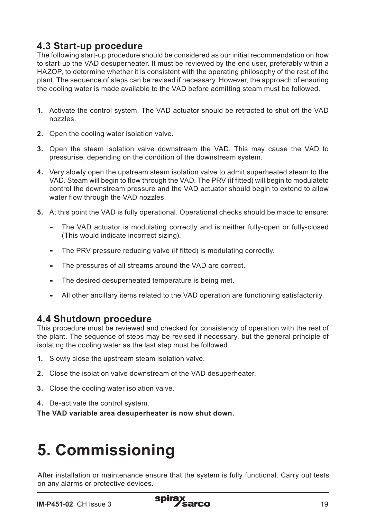## **4.3 Start-up procedure**

The following start-up procedure should be considered as our initial recommendation on how to start-up the VAD desuperheater. It must be reviewed by the end user, preferably within a HAZOP, to determine whether it is consistent with the operating philosophy of the rest of the plant. The sequence of steps can be revised if necessary. However, the approach of ensuring the cooling water is made available to the VAD before admitting steam must be followed.

- **1.** Activate the control system. The VAD actuator should be retracted to shut off the VAD nozzles.
- **2.** Open the cooling water isolation valve.
- **3.** Open the steam isolation valve downstream the VAD. This may cause the VAD to pressurise, depending on the condition of the downstream system.
- **4.** Very slowly open the upstream steam isolation valve to admit superheated steam to the VAD. Steam will begin to flow through the VAD. The PRV (if fitted) will begin to modulateto control the downstream pressure and the VAD actuator should begin to extend to allow water flow through the VAD nozzles.
- **5.** At this point the VAD is fully operational. Operational checks should be made to ensure:
	- **-** The VAD actuator is modulating correctly and is neither fully-open or fully-closed (This would indicate incorrect sizing).
	- **-** The PRV pressure reducing valve (if fitted) is modulating correctly.
	- **-** The pressures of all streams around the VAD are correct.
	- **-** The desired desuperheated temperature is being met.
	- **-** All other ancillary items related to the VAD operation are functioning satisfactorily.

## **4.4 Shutdown procedure**

This procedure must be reviewed and checked for consistency of operation with the rest of the plant. The sequence of steps may be revised if necessary, but the general principle of isolating the cooling water as the last step must be followed.

- **1.** Slowly close the upstream steam isolation valve.
- **2.** Close the isolation valve downstream of the VAD desuperheater.
- **3.** Close the cooling water isolation valve.
- **4.** De-activate the control system.

**The VAD variable area desuperheater is now shut down.**

# **5. Commissioning**

After installation or maintenance ensure that the system is fully functional. Carry out tests on any alarms or protective devices.

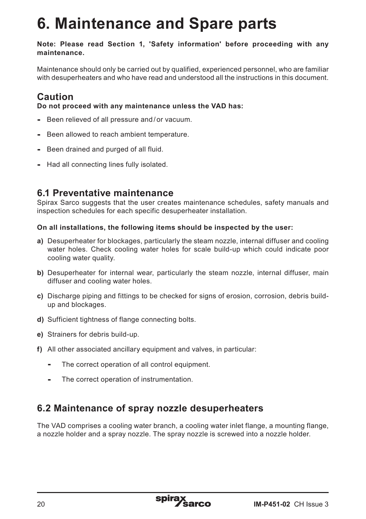# **6. Maintenance and Spare parts**

#### **Note: Please read Section 1, 'Safety information' before proceeding with any maintenance.**

Maintenance should only be carried out by qualified, experienced personnel, who are familiar with desuperheaters and who have read and understood all the instructions in this document.

## **Caution**

**Do not proceed with any maintenance unless the VAD has:**

- **-** Been relieved of all pressure and / or vacuum.
- **-** Been allowed to reach ambient temperature.
- **-** Been drained and purged of all fluid.
- **-** Had all connecting lines fully isolated.

## **6.1 Preventative maintenance**

Spirax Sarco suggests that the user creates maintenance schedules, safety manuals and inspection schedules for each specific desuperheater installation.

#### **On all installations, the following items should be inspected by the user:**

- **a)** Desuperheater for blockages, particularly the steam nozzle, internal diffuser and cooling water holes. Check cooling water holes for scale build-up which could indicate poor cooling water quality.
- **b)** Desuperheater for internal wear, particularly the steam nozzle, internal diffuser, main diffuser and cooling water holes.
- **c)** Discharge piping and fittings to be checked for signs of erosion, corrosion, debris buildup and blockages.
- **d)** Sufficient tightness of flange connecting bolts.
- **e)** Strainers for debris build-up.
- **f)** All other associated ancillary equipment and valves, in particular:
	- **-** The correct operation of all control equipment.
	- **-** The correct operation of instrumentation.

## **6.2 Maintenance of spray nozzle desuperheaters**

The VAD comprises a cooling water branch, a cooling water inlet flange, a mounting flange, a nozzle holder and a spray nozzle. The spray nozzle is screwed into a nozzle holder.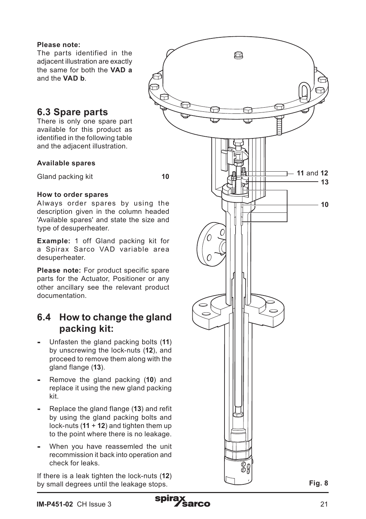#### **Please note:**

The parts identified in the adjacent illustration are exactly the same for both the **VAD a** and the **VAD b** .

## **6.3 Spare parts**

There is only one spare part available for this product as identified in the following table and the adjacent illustration.

#### **Available spares**

Gland packing kit **10** 

#### **How to order spares**

Always order spares by using the description given in the column headed 'Available spares' and state the size and type of desuperheater.

**Example:** 1 off Gland packing kit for a Spirax Sarco VAD variable area desuperheater.

**Please note:** For product specific spare parts for the Actuator, Positioner or any other ancillary see the relevant product documentation.

## **6.4 How to change the gland packing kit:**

- **-** Unfasten the gland packing bolts (**11**) by unscrewing the lock-nuts (**12**), and proceed to remove them along with the gland flange (**13**).
- **-** Remove the gland packing (**10**) and replace it using the new gland packing kit.
- **-** Replace the gland flange (**13**) and refit by using the gland packing bolts and lock-nuts (**11** + **12**) and tighten them up to the point where there is no leakage.
- **-** When you have reassemled the unit recommission it back into operation and check for leaks.

If there is a leak tighten the lock-nuts (**12**) by small degrees until the leakage stops. **Fig. 8** Fig. 8

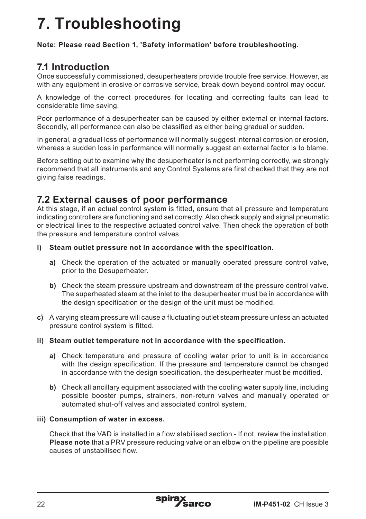# **7. Troubleshooting**

**Note: Please read Section 1, 'Safety information' before troubleshooting.**

## **7.1 Introduction**

Once successfully commissioned, desuperheaters provide trouble free service. However, as with any equipment in erosive or corrosive service, break down beyond control may occur.

A knowledge of the correct procedures for locating and correcting faults can lead to considerable time saving.

Poor performance of a desuperheater can be caused by either external or internal factors. Secondly, all performance can also be classified as either being gradual or sudden.

In general, a gradual loss of performance will normally suggest internal corrosion or erosion, whereas a sudden loss in performance will normally suggest an external factor is to blame.

Before setting out to examine why the desuperheater is not performing correctly, we strongly recommend that all instruments and any Control Systems are first checked that they are not giving false readings.

## **7.2 External causes of poor performance**

At this stage, if an actual control system is fitted, ensure that all pressure and temperature indicating controllers are functioning and set correctly. Also check supply and signal pneumatic or electrical lines to the respective actuated control valve. Then check the operation of both the pressure and temperature control valves.

- **i) Steam outlet pressure not in accordance with the specification.**
	- **a)** Check the operation of the actuated or manually operated pressure control valve, prior to the Desuperheater.
	- **b)** Check the steam pressure upstream and downstream of the pressure control valve. The superheated steam at the inlet to the desuperheater must be in accordance with the design specification or the design of the unit must be modified.
- **c)** A varying steam pressure will cause a fluctuating outlet steam pressure unless an actuated pressure control system is fitted.
- **ii) Steam outlet temperature not in accordance with the specification.**
	- **a)** Check temperature and pressure of cooling water prior to unit is in accordance with the design specification. If the pressure and temperature cannot be changed in accordance with the design specification, the desuperheater must be modified.
	- **b)** Check all ancillary equipment associated with the cooling water supply line, including possible booster pumps, strainers, non-return valves and manually operated or automated shut-off valves and associated control system.

#### **iii) Consumption of water in excess.**

Check that the VAD is installed in a flow stabilised section - If not, review the installation. **Please note** that a PRV pressure reducing valve or an elbow on the pipeline are possible causes of unstabilised flow.